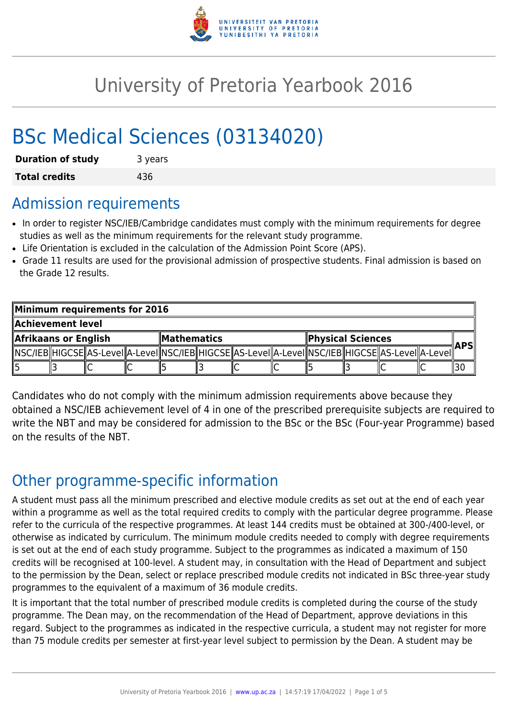

# University of Pretoria Yearbook 2016

# BSc Medical Sciences (03134020)

| <b>Duration of study</b> | 3 years |  |  |  |
|--------------------------|---------|--|--|--|
| <b>Total credits</b>     | 436     |  |  |  |

## Admission requirements

- In order to register NSC/IEB/Cambridge candidates must comply with the minimum requirements for degree studies as well as the minimum requirements for the relevant study programme.
- Life Orientation is excluded in the calculation of the Admission Point Score (APS).
- Grade 11 results are used for the provisional admission of prospective students. Final admission is based on the Grade 12 results.

| Minimum requirements for 2016 |  |  |                    |  |  |                          |  |  |  |                                                                                                              |  |  |
|-------------------------------|--|--|--------------------|--|--|--------------------------|--|--|--|--------------------------------------------------------------------------------------------------------------|--|--|
| Achievement level             |  |  |                    |  |  |                          |  |  |  |                                                                                                              |  |  |
| Afrikaans or English          |  |  | <b>Mathematics</b> |  |  | <b>Physical Sciences</b> |  |  |  | ∥APSI                                                                                                        |  |  |
|                               |  |  |                    |  |  |                          |  |  |  | [ NSC/IEB  HIGCSE  AS-LeveI  A-LeveI  NSC/IEB  HIGCSE  AS-LeveI  A-LeveI  NSC/IEB  HIGCSE  AS-LeveI  A-LeveI |  |  |
|                               |  |  |                    |  |  |                          |  |  |  |                                                                                                              |  |  |

Candidates who do not comply with the minimum admission requirements above because they obtained a NSC/IEB achievement level of 4 in one of the prescribed prerequisite subjects are required to write the NBT and may be considered for admission to the BSc or the BSc (Four-year Programme) based on the results of the NBT.

# Other programme-specific information

A student must pass all the minimum prescribed and elective module credits as set out at the end of each year within a programme as well as the total required credits to comply with the particular degree programme. Please refer to the curricula of the respective programmes. At least 144 credits must be obtained at 300-/400-level, or otherwise as indicated by curriculum. The minimum module credits needed to comply with degree requirements is set out at the end of each study programme. Subject to the programmes as indicated a maximum of 150 credits will be recognised at 100-level. A student may, in consultation with the Head of Department and subject to the permission by the Dean, select or replace prescribed module credits not indicated in BSc three-year study programmes to the equivalent of a maximum of 36 module credits.

It is important that the total number of prescribed module credits is completed during the course of the study programme. The Dean may, on the recommendation of the Head of Department, approve deviations in this regard. Subject to the programmes as indicated in the respective curricula, a student may not register for more than 75 module credits per semester at first-year level subject to permission by the Dean. A student may be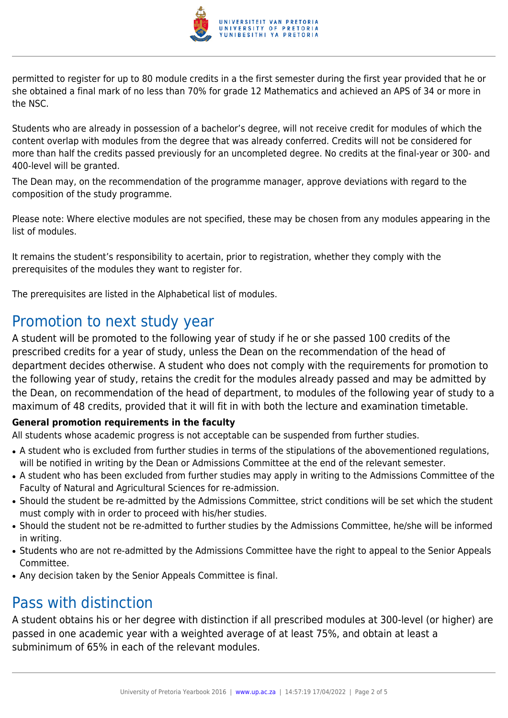

permitted to register for up to 80 module credits in a the first semester during the first year provided that he or she obtained a final mark of no less than 70% for grade 12 Mathematics and achieved an APS of 34 or more in the NSC.

Students who are already in possession of a bachelor's degree, will not receive credit for modules of which the content overlap with modules from the degree that was already conferred. Credits will not be considered for more than half the credits passed previously for an uncompleted degree. No credits at the final-year or 300- and 400-level will be granted.

The Dean may, on the recommendation of the programme manager, approve deviations with regard to the composition of the study programme.

Please note: Where elective modules are not specified, these may be chosen from any modules appearing in the list of modules.

It remains the student's responsibility to acertain, prior to registration, whether they comply with the prerequisites of the modules they want to register for.

The prerequisites are listed in the Alphabetical list of modules.

## Promotion to next study year

A student will be promoted to the following year of study if he or she passed 100 credits of the prescribed credits for a year of study, unless the Dean on the recommendation of the head of department decides otherwise. A student who does not comply with the requirements for promotion to the following year of study, retains the credit for the modules already passed and may be admitted by the Dean, on recommendation of the head of department, to modules of the following year of study to a maximum of 48 credits, provided that it will fit in with both the lecture and examination timetable.

#### **General promotion requirements in the faculty**

All students whose academic progress is not acceptable can be suspended from further studies.

- A student who is excluded from further studies in terms of the stipulations of the abovementioned regulations, will be notified in writing by the Dean or Admissions Committee at the end of the relevant semester.
- A student who has been excluded from further studies may apply in writing to the Admissions Committee of the Faculty of Natural and Agricultural Sciences for re-admission.
- Should the student be re-admitted by the Admissions Committee, strict conditions will be set which the student must comply with in order to proceed with his/her studies.
- Should the student not be re-admitted to further studies by the Admissions Committee, he/she will be informed in writing.
- Students who are not re-admitted by the Admissions Committee have the right to appeal to the Senior Appeals Committee.
- Any decision taken by the Senior Appeals Committee is final.

## Pass with distinction

A student obtains his or her degree with distinction if all prescribed modules at 300-level (or higher) are passed in one academic year with a weighted average of at least 75%, and obtain at least a subminimum of 65% in each of the relevant modules.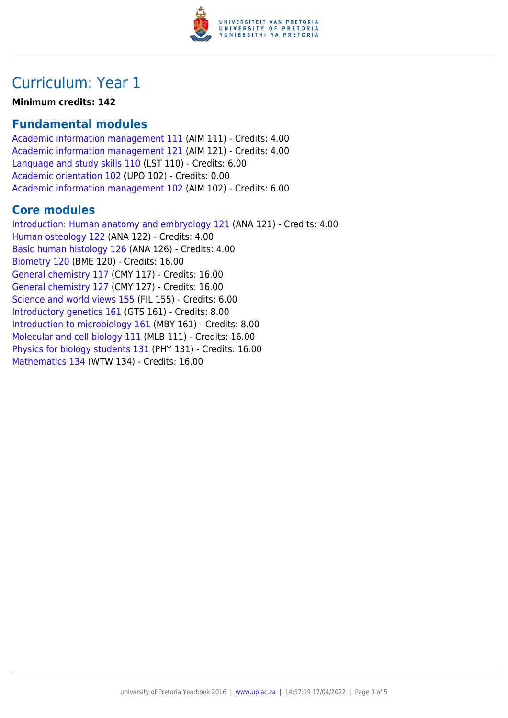

## Curriculum: Year 1

**Minimum credits: 142**

## **Fundamental modules**

[Academic information management 111](https://www.up.ac.za/parents/yearbooks/2016/modules/view/AIM 111) (AIM 111) - Credits: 4.00 [Academic information management 121](https://www.up.ac.za/parents/yearbooks/2016/modules/view/AIM 121) (AIM 121) - Credits: 4.00 [Language and study skills 110](https://www.up.ac.za/parents/yearbooks/2016/modules/view/LST 110) (LST 110) - Credits: 6.00 [Academic orientation 102](https://www.up.ac.za/parents/yearbooks/2016/modules/view/UPO 102) (UPO 102) - Credits: 0.00 [Academic information management 102](https://www.up.ac.za/parents/yearbooks/2016/modules/view/AIM 102) (AIM 102) - Credits: 6.00

## **Core modules**

[Introduction: Human anatomy and embryology 121](https://www.up.ac.za/parents/yearbooks/2016/modules/view/ANA 121) (ANA 121) - Credits: 4.00 [Human osteology 122](https://www.up.ac.za/parents/yearbooks/2016/modules/view/ANA 122) (ANA 122) - Credits: 4.00 [Basic human histology 126](https://www.up.ac.za/parents/yearbooks/2016/modules/view/ANA 126) (ANA 126) - Credits: 4.00 [Biometry 120](https://www.up.ac.za/parents/yearbooks/2016/modules/view/BME 120) (BME 120) - Credits: 16.00 [General chemistry 117](https://www.up.ac.za/parents/yearbooks/2016/modules/view/CMY 117) (CMY 117) - Credits: 16.00 [General chemistry 127](https://www.up.ac.za/parents/yearbooks/2016/modules/view/CMY 127) (CMY 127) - Credits: 16.00 [Science and world views 155](https://www.up.ac.za/parents/yearbooks/2016/modules/view/FIL 155) (FIL 155) - Credits: 6.00 [Introductory genetics 161](https://www.up.ac.za/parents/yearbooks/2016/modules/view/GTS 161) (GTS 161) - Credits: 8.00 [Introduction to microbiology 161](https://www.up.ac.za/parents/yearbooks/2016/modules/view/MBY 161) (MBY 161) - Credits: 8.00 [Molecular and cell biology 111](https://www.up.ac.za/parents/yearbooks/2016/modules/view/MLB 111) (MLB 111) - Credits: 16.00 [Physics for biology students 131](https://www.up.ac.za/parents/yearbooks/2016/modules/view/PHY 131) (PHY 131) - Credits: 16.00 [Mathematics 134](https://www.up.ac.za/parents/yearbooks/2016/modules/view/WTW 134) (WTW 134) - Credits: 16.00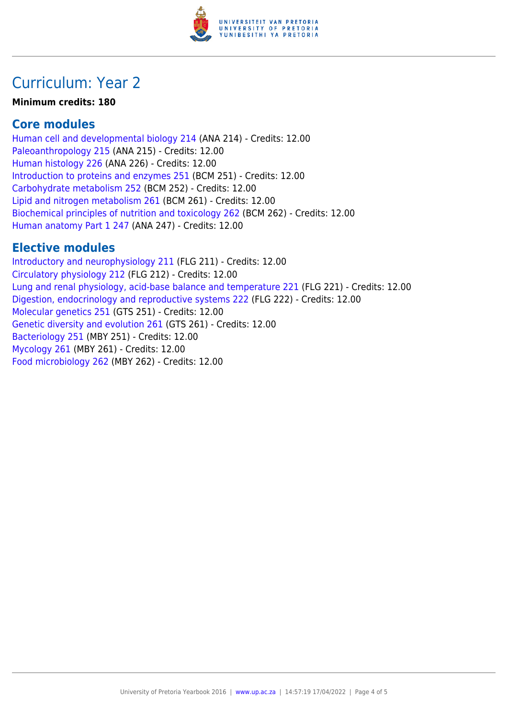

## Curriculum: Year 2

#### **Minimum credits: 180**

#### **Core modules**

[Human cell and developmental biology 214](https://www.up.ac.za/parents/yearbooks/2016/modules/view/ANA 214) (ANA 214) - Credits: 12.00 [Paleoanthropology 215](https://www.up.ac.za/parents/yearbooks/2016/modules/view/ANA 215) (ANA 215) - Credits: 12.00 [Human histology 226](https://www.up.ac.za/parents/yearbooks/2016/modules/view/ANA 226) (ANA 226) - Credits: 12.00 [Introduction to proteins and enzymes 251](https://www.up.ac.za/parents/yearbooks/2016/modules/view/BCM 251) (BCM 251) - Credits: 12.00 [Carbohydrate metabolism 252](https://www.up.ac.za/parents/yearbooks/2016/modules/view/BCM 252) (BCM 252) - Credits: 12.00 [Lipid and nitrogen metabolism 261](https://www.up.ac.za/parents/yearbooks/2016/modules/view/BCM 261) (BCM 261) - Credits: 12.00 [Biochemical principles of nutrition and toxicology 262](https://www.up.ac.za/parents/yearbooks/2016/modules/view/BCM 262) (BCM 262) - Credits: 12.00 [Human anatomy Part 1 247](https://www.up.ac.za/parents/yearbooks/2016/modules/view/ANA 247) (ANA 247) - Credits: 12.00

### **Elective modules**

[Introductory and neurophysiology 211](https://www.up.ac.za/parents/yearbooks/2016/modules/view/FLG 211) (FLG 211) - Credits: 12.00 [Circulatory physiology 212](https://www.up.ac.za/parents/yearbooks/2016/modules/view/FLG 212) (FLG 212) - Credits: 12.00 [Lung and renal physiology, acid-base balance and temperature 221](https://www.up.ac.za/parents/yearbooks/2016/modules/view/FLG 221) (FLG 221) - Credits: 12.00 [Digestion, endocrinology and reproductive systems 222](https://www.up.ac.za/parents/yearbooks/2016/modules/view/FLG 222) (FLG 222) - Credits: 12.00 [Molecular genetics 251](https://www.up.ac.za/parents/yearbooks/2016/modules/view/GTS 251) (GTS 251) - Credits: 12.00 [Genetic diversity and evolution 261](https://www.up.ac.za/parents/yearbooks/2016/modules/view/GTS 261) (GTS 261) - Credits: 12.00 [Bacteriology 251](https://www.up.ac.za/parents/yearbooks/2016/modules/view/MBY 251) (MBY 251) - Credits: 12.00 [Mycology 261](https://www.up.ac.za/parents/yearbooks/2016/modules/view/MBY 261) (MBY 261) - Credits: 12.00 [Food microbiology 262](https://www.up.ac.za/parents/yearbooks/2016/modules/view/MBY 262) (MBY 262) - Credits: 12.00